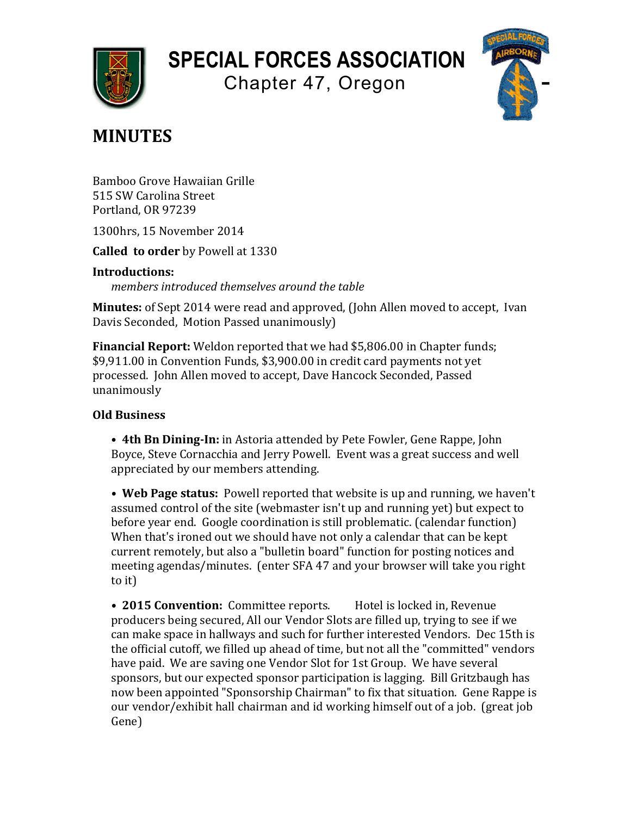# **SPECIAL FORCES ASSOCIATION**

Chapter 47, Oregon



# **MINUTES**

Bamboo Grove Hawaiian Grille 515 SW Carolina Street Portland, OR 97239

1300hrs, 15 November 2014

**Called to order** by Powell at 1330

## **Introductions:**

*members introduced themselves around the table* 

**Minutes:** of Sept 2014 were read and approved, (John Allen moved to accept, Ivan Davis Seconded, Motion Passed unanimously)

**Financial Report:** Weldon reported that we had \$5,806.00 in Chapter funds; \$9,911.00 in Convention Funds, \$3,900.00 in credit card payments not yet processed. John Allen moved to accept, Dave Hancock Seconded, Passed unanimously

# **Old Business**

• 4th Bn Dining-In: in Astoria attended by Pete Fowler, Gene Rappe, John Boyce, Steve Cornacchia and Jerry Powell. Event was a great success and well appreciated by our members attending.

• Web Page status: Powell reported that website is up and running, we haven't assumed control of the site (webmaster isn't up and running yet) but expect to before year end. Google coordination is still problematic. (calendar function) When that's ironed out we should have not only a calendar that can be kept current remotely, but also a "bulletin board" function for posting notices and meeting agendas/minutes. (enter SFA 47 and your browser will take you right to it)

• 2015 Convention: Committee reports. Hotel is locked in, Revenue producers being secured, All our Vendor Slots are filled up, trying to see if we can make space in hallways and such for further interested Vendors. Dec 15th is the official cutoff, we filled up ahead of time, but not all the "committed" vendors have paid. We are saving one Vendor Slot for 1st Group. We have several sponsors, but our expected sponsor participation is lagging. Bill Gritzbaugh has now been appointed "Sponsorship Chairman" to fix that situation. Gene Rappe is our vendor/exhibit hall chairman and id working himself out of a job. (great job Gene)